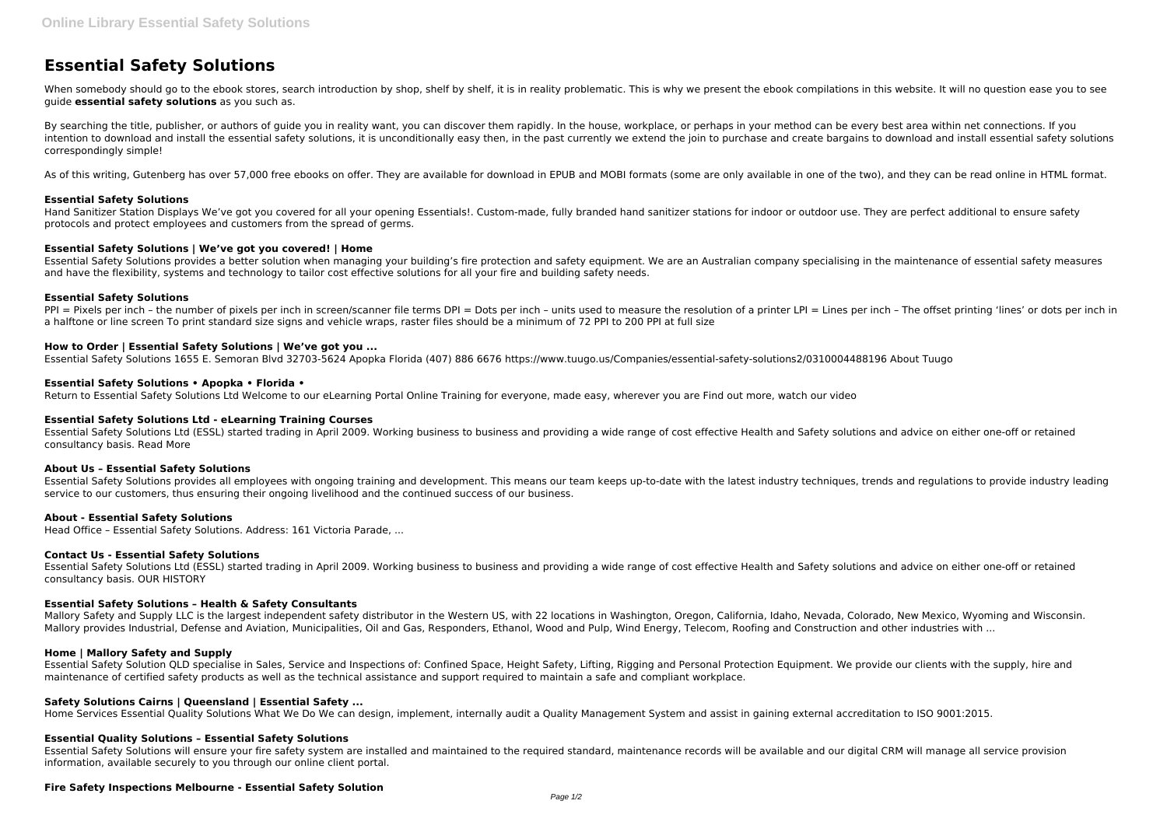# **Essential Safety Solutions**

When somebody should go to the ebook stores, search introduction by shop, shelf by shelf, it is in reality problematic. This is why we present the ebook compilations in this website. It will no question ease you to see guide **essential safety solutions** as you such as.

By searching the title, publisher, or authors of quide you in reality want, you can discover them rapidly. In the house, workplace, or perhaps in your method can be every best area within net connections. If you intention to download and install the essential safety solutions, it is unconditionally easy then, in the past currently we extend the join to purchase and create bargains to download and install essential safety solutions correspondingly simple!

As of this writing, Gutenberg has over 57,000 free ebooks on offer. They are available for download in EPUB and MOBI formats (some are only available in one of the two), and they can be read online in HTML format.

# **Essential Safety Solutions**

PPI = Pixels per inch - the number of pixels per inch in screen/scanner file terms DPI = Dots per inch - units used to measure the resolution of a printer LPI = Lines per inch - The offset printing 'lines' or dots per inch a halftone or line screen To print standard size signs and vehicle wraps, raster files should be a minimum of 72 PPI to 200 PPI at full size

Hand Sanitizer Station Displays We've got you covered for all your opening Essentials!. Custom-made, fully branded hand sanitizer stations for indoor or outdoor use. They are perfect additional to ensure safety protocols and protect employees and customers from the spread of germs.

# **Essential Safety Solutions | We've got you covered! | Home**

Essential Safety Solutions provides a better solution when managing your building's fire protection and safety equipment. We are an Australian company specialising in the maintenance of essential safety measures and have the flexibility, systems and technology to tailor cost effective solutions for all your fire and building safety needs.

## **Essential Safety Solutions**

Mallory Safety and Supply LLC is the largest independent safety distributor in the Western US, with 22 locations in Washington, Oregon, California, Idaho, Nevada, Colorado, New Mexico, Wyoming and Wisconsin. Mallory provides Industrial, Defense and Aviation, Municipalities, Oil and Gas, Responders, Ethanol, Wood and Pulp, Wind Energy, Telecom, Roofing and Construction and other industries with ...

# **How to Order | Essential Safety Solutions | We've got you ...**

Essential Safety Solutions 1655 E. Semoran Blvd 32703-5624 Apopka Florida (407) 886 6676 https://www.tuugo.us/Companies/essential-safety-solutions2/0310004488196 About Tuugo

## **Essential Safety Solutions • Apopka • Florida •**

Return to Essential Safety Solutions Ltd Welcome to our eLearning Portal Online Training for everyone, made easy, wherever you are Find out more, watch our video

## **Essential Safety Solutions Ltd - eLearning Training Courses**

Essential Safety Solutions Ltd (ESSL) started trading in April 2009. Working business to business and providing a wide range of cost effective Health and Safety solutions and advice on either one-off or retained consultancy basis. Read More

## **About Us – Essential Safety Solutions**

Essential Safety Solutions provides all employees with ongoing training and development. This means our team keeps up-to-date with the latest industry techniques, trends and regulations to provide industry leading service to our customers, thus ensuring their ongoing livelihood and the continued success of our business.

## **About - Essential Safety Solutions**

Head Office – Essential Safety Solutions. Address: 161 Victoria Parade, ...

## **Contact Us - Essential Safety Solutions**

Essential Safety Solutions Ltd (ESSL) started trading in April 2009. Working business to business and providing a wide range of cost effective Health and Safety solutions and advice on either one-off or retained consultancy basis. OUR HISTORY

## **Essential Safety Solutions – Health & Safety Consultants**

## **Home | Mallory Safety and Supply**

Essential Safety Solution QLD specialise in Sales, Service and Inspections of: Confined Space, Height Safety, Lifting, Rigging and Personal Protection Equipment. We provide our clients with the supply, hire and maintenance of certified safety products as well as the technical assistance and support required to maintain a safe and compliant workplace.

# **Safety Solutions Cairns | Queensland | Essential Safety ...**

Home Services Essential Quality Solutions What We Do We can design, implement, internally audit a Quality Management System and assist in gaining external accreditation to ISO 9001:2015.

## **Essential Quality Solutions – Essential Safety Solutions**

Essential Safety Solutions will ensure your fire safety system are installed and maintained to the required standard, maintenance records will be available and our digital CRM will manage all service provision information, available securely to you through our online client portal.

# **Fire Safety Inspections Melbourne - Essential Safety Solution**